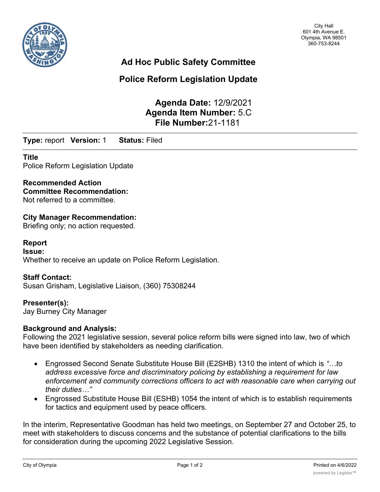

# **Ad Hoc Public Safety Committee**

# **Police Reform Legislation Update**

**Agenda Date:** 12/9/2021 **Agenda Item Number:** 5.C **File Number:**21-1181

**Type:** report **Version:** 1 **Status:** Filed

### **Title**

Police Reform Legislation Update

## **Recommended Action**

**Committee Recommendation:** Not referred to a committee.

## **City Manager Recommendation:**

Briefing only; no action requested.

#### **Report**

**Issue:** Whether to receive an update on Police Reform Legislation.

#### **Staff Contact:**

Susan Grisham, Legislative Liaison, (360) 75308244

### **Presenter(s):**

Jay Burney City Manager

#### **Background and Analysis:**

Following the 2021 legislative session, several police reform bills were signed into law, two of which have been identified by stakeholders as needing clarification.

- · Engrossed Second Senate Substitute House Bill (E2SHB) 1310 the intent of which is *"…to address excessive force and discriminatory policing by establishing a requirement for law enforcement and community corrections officers to act with reasonable care when carrying out their duties…"*
- · Engrossed Substitute House Bill (ESHB) 1054 the intent of which is to establish requirements for tactics and equipment used by peace officers.

In the interim, Representative Goodman has held two meetings, on September 27 and October 25, to meet with stakeholders to discuss concerns and the substance of potential clarifications to the bills for consideration during the upcoming 2022 Legislative Session.